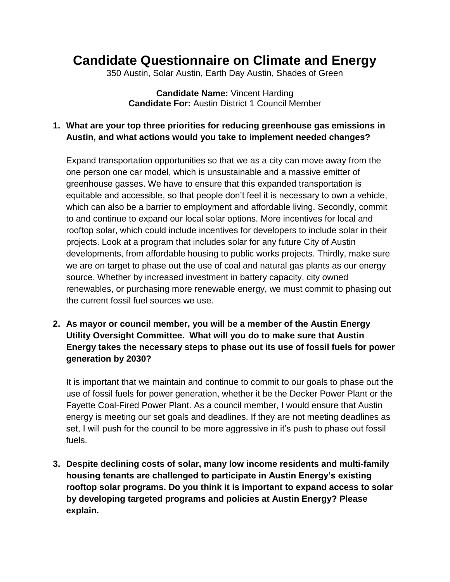## **Candidate Questionnaire on Climate and Energy**

350 Austin, Solar Austin, Earth Day Austin, Shades of Green

**Candidate Name:** Vincent Harding **Candidate For:** Austin District 1 Council Member

## **1. What are your top three priorities for reducing greenhouse gas emissions in Austin, and what actions would you take to implement needed changes?**

Expand transportation opportunities so that we as a city can move away from the one person one car model, which is unsustainable and a massive emitter of greenhouse gasses. We have to ensure that this expanded transportation is equitable and accessible, so that people don't feel it is necessary to own a vehicle, which can also be a barrier to employment and affordable living. Secondly, commit to and continue to expand our local solar options. More incentives for local and rooftop solar, which could include incentives for developers to include solar in their projects. Look at a program that includes solar for any future City of Austin developments, from affordable housing to public works projects. Thirdly, make sure we are on target to phase out the use of coal and natural gas plants as our energy source. Whether by increased investment in battery capacity, city owned renewables, or purchasing more renewable energy, we must commit to phasing out the current fossil fuel sources we use.

**2. As mayor or council member, you will be a member of the Austin Energy Utility Oversight Committee. What will you do to make sure that Austin Energy takes the necessary steps to phase out its use of fossil fuels for power generation by 2030?**

It is important that we maintain and continue to commit to our goals to phase out the use of fossil fuels for power generation, whether it be the Decker Power Plant or the Fayette Coal-Fired Power Plant. As a council member, I would ensure that Austin energy is meeting our set goals and deadlines. If they are not meeting deadlines as set, I will push for the council to be more aggressive in it's push to phase out fossil fuels.

**3. Despite declining costs of solar, many low income residents and multi-family housing tenants are challenged to participate in Austin Energy's existing rooftop solar programs. Do you think it is important to expand access to solar by developing targeted programs and policies at Austin Energy? Please explain.**